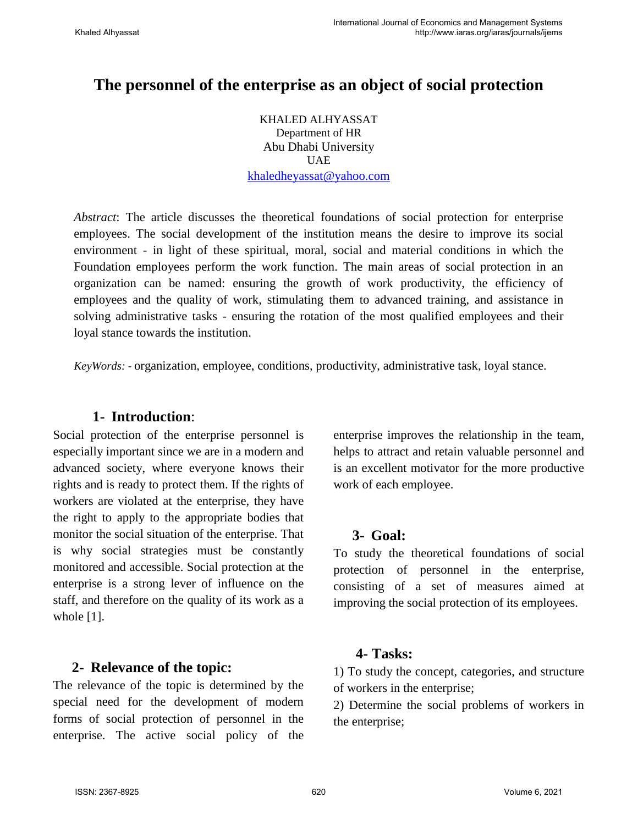# **The personnel of the enterprise as an object of social protection**

KHALED ALHYASSAT Department of HR Abu Dhabi University UAE [khaledheyassat@yahoo.com](mailto:khaledheyassat@yahoo.com)

*Abstract*: The article discusses the theoretical foundations of social protection for enterprise employees. The social development of the institution means the desire to improve its social environment - in light of these spiritual, moral, social and material conditions in which the Foundation employees perform the work function. The main areas of social protection in an organization can be named: ensuring the growth of work productivity, the efficiency of employees and the quality of work, stimulating them to advanced training, and assistance in solving administrative tasks - ensuring the rotation of the most qualified employees and their loyal stance towards the institution.

*KeyWords: -* organization, employee, conditions, productivity, administrative task, loyal stance.

### **1- Introduction**:

Social protection of the enterprise personnel is especially important since we are in a modern and advanced society, where everyone knows their rights and is ready to protect them. If the rights of workers are violated at the enterprise, they have the right to apply to the appropriate bodies that monitor the social situation of the enterprise. That is why social strategies must be constantly monitored and accessible. Social protection at the enterprise is a strong lever of influence on the staff, and therefore on the quality of its work as a whole [1].

#### **2- Relevance of the topic:**

The relevance of the topic is determined by the special need for the development of modern forms of social protection of personnel in the enterprise. The active social policy of the

enterprise improves the relationship in the team, helps to attract and retain valuable personnel and is an excellent motivator for the more productive work of each employee.

#### **3- Goal:**

To study the theoretical foundations of social protection of personnel in the enterprise, consisting of a set of measures aimed at improving the social protection of its employees.

#### **4- Tasks:**

1) To study the concept, categories, and structure of workers in the enterprise;

2) Determine the social problems of workers in the enterprise;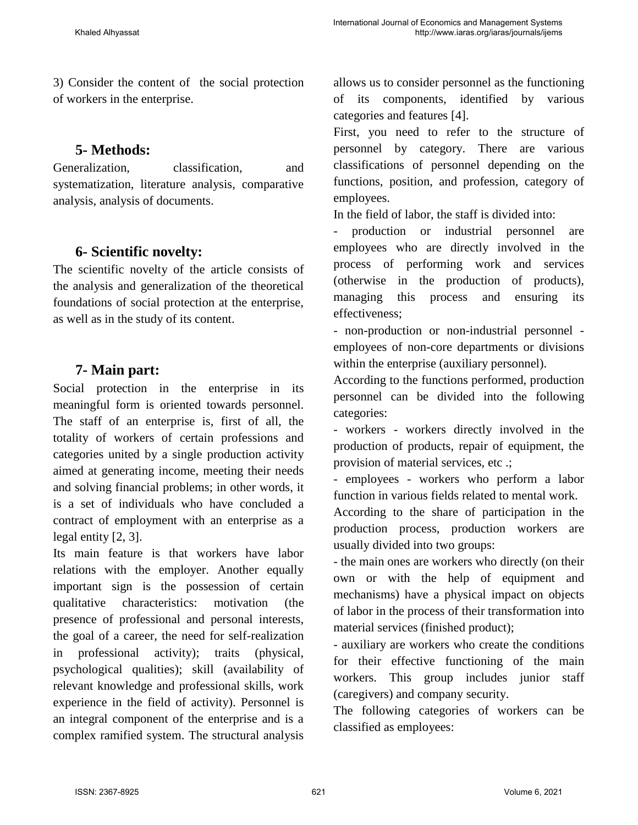3) Consider the content of the social protection of workers in the enterprise.

### **5- Methods:**

Generalization, classification, and systematization, literature analysis, comparative analysis, analysis of documents.

## **6- Scientific novelty:**

The scientific novelty of the article consists of the analysis and generalization of the theoretical foundations of social protection at the enterprise, as well as in the study of its content.

## **7- Main part:**

Social protection in the enterprise in its meaningful form is oriented towards personnel. The staff of an enterprise is, first of all, the totality of workers of certain professions and categories united by a single production activity aimed at generating income, meeting their needs and solving financial problems; in other words, it is a set of individuals who have concluded a contract of employment with an enterprise as a legal entity [2, 3].

Its main feature is that workers have labor relations with the employer. Another equally important sign is the possession of certain qualitative characteristics: motivation (the presence of professional and personal interests, the goal of a career, the need for self-realization in professional activity); traits (physical, psychological qualities); skill (availability of relevant knowledge and professional skills, work experience in the field of activity). Personnel is an integral component of the enterprise and is a complex ramified system. The structural analysis

allows us to consider personnel as the functioning of its components, identified by various categories and features [4].

First, you need to refer to the structure of personnel by category. There are various classifications of personnel depending on the functions, position, and profession, category of employees.

In the field of labor, the staff is divided into:

- production or industrial personnel are employees who are directly involved in the process of performing work and services (otherwise in the production of products), managing this process and ensuring its effectiveness;

- non-production or non-industrial personnel employees of non-core departments or divisions within the enterprise (auxiliary personnel).

According to the functions performed, production personnel can be divided into the following categories:

- workers - workers directly involved in the production of products, repair of equipment, the provision of material services, etc .;

- employees - workers who perform a labor function in various fields related to mental work.

According to the share of participation in the production process, production workers are usually divided into two groups:

- the main ones are workers who directly (on their own or with the help of equipment and mechanisms) have a physical impact on objects of labor in the process of their transformation into material services (finished product);

- auxiliary are workers who create the conditions for their effective functioning of the main workers. This group includes junior staff (caregivers) and company security.

The following categories of workers can be classified as employees: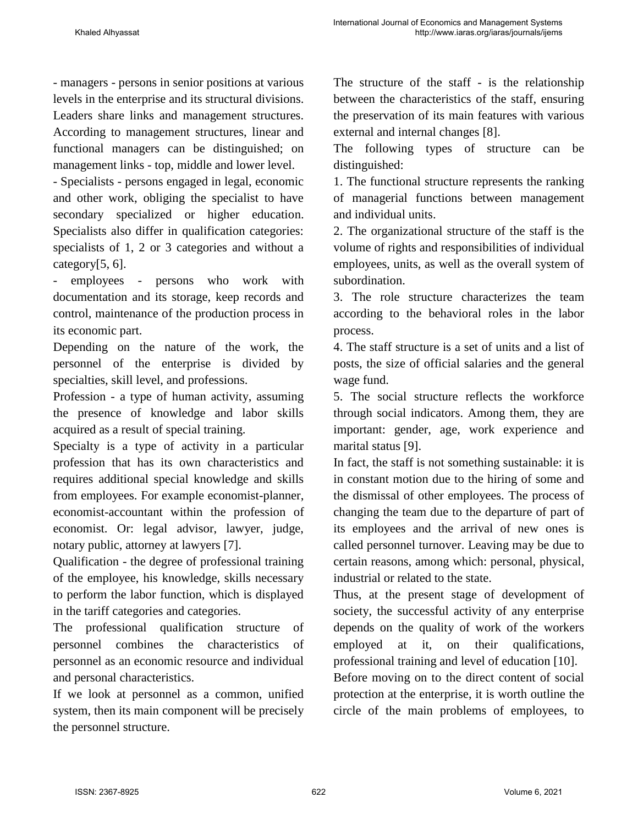- managers - persons in senior positions at various levels in the enterprise and its structural divisions. Leaders share links and management structures. According to management structures, linear and functional managers can be distinguished; on management links - top, middle and lower level.

- Specialists - persons engaged in legal, economic and other work, obliging the specialist to have secondary specialized or higher education. Specialists also differ in qualification categories: specialists of 1, 2 or 3 categories and without a category $[5, 6]$ .

- employees - persons who work with documentation and its storage, keep records and control, maintenance of the production process in its economic part.

Depending on the nature of the work, the personnel of the enterprise is divided by specialties, skill level, and professions.

Profession - a type of human activity, assuming the presence of knowledge and labor skills acquired as a result of special training.

Specialty is a type of activity in a particular profession that has its own characteristics and requires additional special knowledge and skills from employees. For example economist-planner, economist-accountant within the profession of economist. Or: legal advisor, lawyer, judge, notary public, attorney at lawyers [7].

Qualification - the degree of professional training of the employee, his knowledge, skills necessary to perform the labor function, which is displayed in the tariff categories and categories.

The professional qualification structure of personnel combines the characteristics of personnel as an economic resource and individual and personal characteristics.

If we look at personnel as a common, unified system, then its main component will be precisely the personnel structure.

The structure of the staff - is the relationship between the characteristics of the staff, ensuring the preservation of its main features with various external and internal changes [8].

The following types of structure can be distinguished:

1. The functional structure represents the ranking of managerial functions between management and individual units.

2. The organizational structure of the staff is the volume of rights and responsibilities of individual employees, units, as well as the overall system of subordination.

3. The role structure characterizes the team according to the behavioral roles in the labor process.

4. The staff structure is a set of units and a list of posts, the size of official salaries and the general wage fund.

5. The social structure reflects the workforce through social indicators. Among them, they are important: gender, age, work experience and marital status [9].

In fact, the staff is not something sustainable: it is in constant motion due to the hiring of some and the dismissal of other employees. The process of changing the team due to the departure of part of its employees and the arrival of new ones is called personnel turnover. Leaving may be due to certain reasons, among which: personal, physical, industrial or related to the state.

Thus, at the present stage of development of society, the successful activity of any enterprise depends on the quality of work of the workers employed at it, on their qualifications, professional training and level of education [10].

Before moving on to the direct content of social protection at the enterprise, it is worth outline the circle of the main problems of employees, to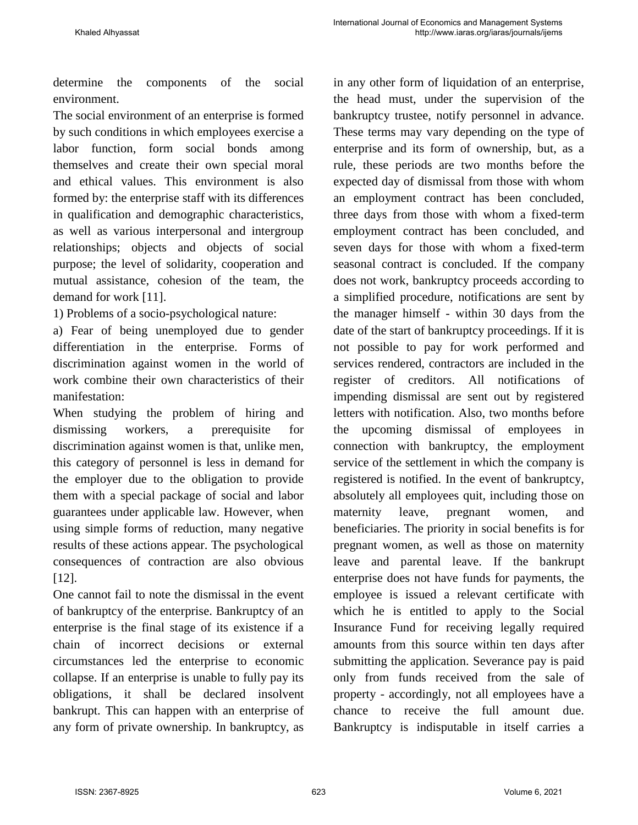determine the components of the social environment.

The social environment of an enterprise is formed by such conditions in which employees exercise a labor function, form social bonds among themselves and create their own special moral and ethical values. This environment is also formed by: the enterprise staff with its differences in qualification and demographic characteristics, as well as various interpersonal and intergroup relationships; objects and objects of social purpose; the level of solidarity, cooperation and mutual assistance, cohesion of the team, the demand for work [11].

1) Problems of a socio-psychological nature:

a) Fear of being unemployed due to gender differentiation in the enterprise. Forms of discrimination against women in the world of work combine their own characteristics of their manifestation:

When studying the problem of hiring and dismissing workers, a prerequisite for discrimination against women is that, unlike men, this category of personnel is less in demand for the employer due to the obligation to provide them with a special package of social and labor guarantees under applicable law. However, when using simple forms of reduction, many negative results of these actions appear. The psychological consequences of contraction are also obvious [12].

One cannot fail to note the dismissal in the event of bankruptcy of the enterprise. Bankruptcy of an enterprise is the final stage of its existence if a chain of incorrect decisions or external circumstances led the enterprise to economic collapse. If an enterprise is unable to fully pay its obligations, it shall be declared insolvent bankrupt. This can happen with an enterprise of any form of private ownership. In bankruptcy, as

in any other form of liquidation of an enterprise, the head must, under the supervision of the bankruptcy trustee, notify personnel in advance. These terms may vary depending on the type of enterprise and its form of ownership, but, as a rule, these periods are two months before the expected day of dismissal from those with whom an employment contract has been concluded, three days from those with whom a fixed-term employment contract has been concluded, and seven days for those with whom a fixed-term seasonal contract is concluded. If the company does not work, bankruptcy proceeds according to a simplified procedure, notifications are sent by the manager himself - within 30 days from the date of the start of bankruptcy proceedings. If it is not possible to pay for work performed and services rendered, contractors are included in the register of creditors. All notifications of impending dismissal are sent out by registered letters with notification. Also, two months before the upcoming dismissal of employees in connection with bankruptcy, the employment service of the settlement in which the company is registered is notified. In the event of bankruptcy, absolutely all employees quit, including those on maternity leave, pregnant women, and beneficiaries. The priority in social benefits is for pregnant women, as well as those on maternity leave and parental leave. If the bankrupt enterprise does not have funds for payments, the employee is issued a relevant certificate with which he is entitled to apply to the Social Insurance Fund for receiving legally required amounts from this source within ten days after submitting the application. Severance pay is paid only from funds received from the sale of property - accordingly, not all employees have a chance to receive the full amount due. Bankruptcy is indisputable in itself carries a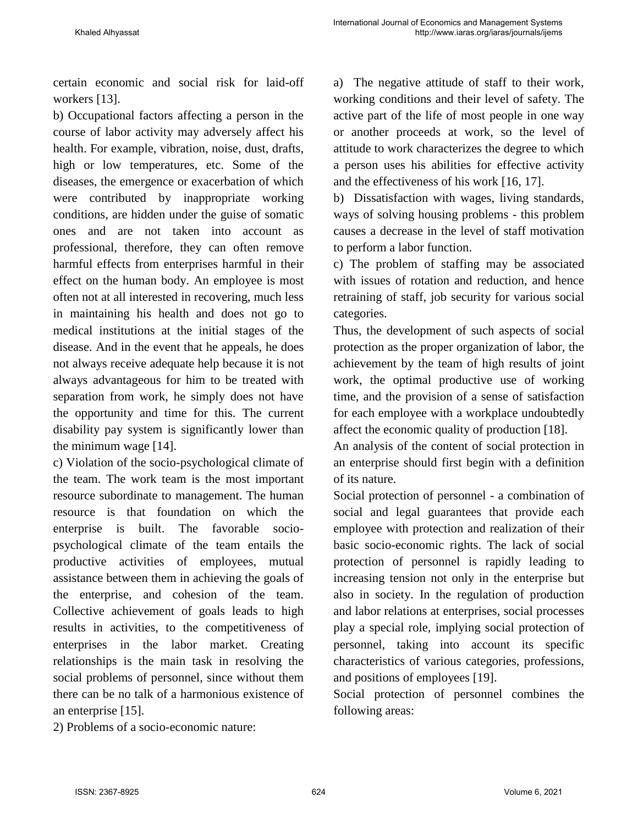certain economic and social risk for laid-off workers [13].

b) Occupational factors affecting a person in the course of labor activity may adversely affect his health. For example, vibration, noise, dust, drafts, high or low temperatures, etc. Some of the diseases, the emergence or exacerbation of which were contributed by inappropriate working conditions, are hidden under the guise of somatic ones and are not taken into account as professional, therefore, they can often remove harmful effects from enterprises harmful in their effect on the human body. An employee is most often not at all interested in recovering, much less in maintaining his health and does not go to medical institutions at the initial stages of the disease. And in the event that he appeals, he does not always receive adequate help because it is not always advantageous for him to be treated with separation from work, he simply does not have the opportunity and time for this. The current disability pay system is significantly lower than the minimum wage [14].

c) Violation of the socio-psychological climate of the team. The work team is the most important resource subordinate to management. The human resource is that foundation on which the enterprise is built. The favorable sociopsychological climate of the team entails the productive activities of employees, mutual assistance between them in achieving the goals of the enterprise, and cohesion of the team. Collective achievement of goals leads to high results in activities, to the competitiveness of enterprises in the labor market. Creating relationships is the main task in resolving the social problems of personnel, since without them there can be no talk of a harmonious existence of an enterprise [15].

a) The negative attitude of staff to their work, working conditions and their level of safety. The active part of the life of most people in one way or another proceeds at work, so the level of attitude to work characterizes the degree to which a person uses his abilities for effective activity and the effectiveness of his work [16, 17].

b) Dissatisfaction with wages, living standards, ways of solving housing problems - this problem causes a decrease in the level of staff motivation to perform a labor function.

c) The problem of staffing may be associated with issues of rotation and reduction, and hence retraining of staff, job security for various social categories.

Thus, the development of such aspects of social protection as the proper organization of labor, the achievement by the team of high results of joint work, the optimal productive use of working time, and the provision of a sense of satisfaction for each employee with a workplace undoubtedly affect the economic quality of production [18].

An analysis of the content of social protection in an enterprise should first begin with a definition of its nature.

Social protection of personnel - a combination of social and legal guarantees that provide each employee with protection and realization of their basic socio-economic rights. The lack of social protection of personnel is rapidly leading to increasing tension not only in the enterprise but also in society. In the regulation of production and labor relations at enterprises, social processes play a special role, implying social protection of personnel, taking into account its specific characteristics of various categories, professions, and positions of employees [19].

Social protection of personnel combines the following areas:

2) Problems of a socio-economic nature: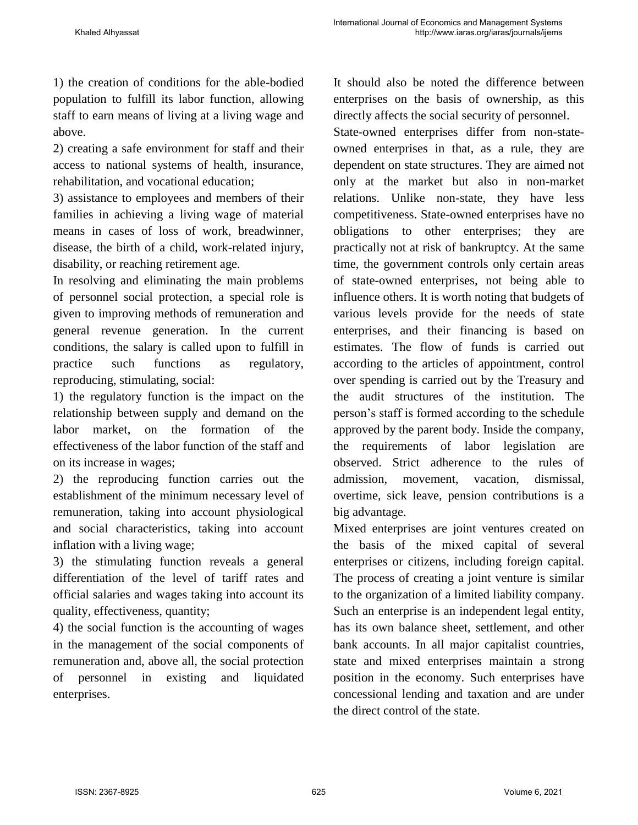1) the creation of conditions for the able-bodied population to fulfill its labor function, allowing staff to earn means of living at a living wage and above.

2) creating a safe environment for staff and their access to national systems of health, insurance, rehabilitation, and vocational education;

3) assistance to employees and members of their families in achieving a living wage of material means in cases of loss of work, breadwinner, disease, the birth of a child, work-related injury, disability, or reaching retirement age.

In resolving and eliminating the main problems of personnel social protection, a special role is given to improving methods of remuneration and general revenue generation. In the current conditions, the salary is called upon to fulfill in practice such functions as regulatory, reproducing, stimulating, social:

1) the regulatory function is the impact on the relationship between supply and demand on the labor market, on the formation of the effectiveness of the labor function of the staff and on its increase in wages;

2) the reproducing function carries out the establishment of the minimum necessary level of remuneration, taking into account physiological and social characteristics, taking into account inflation with a living wage;

3) the stimulating function reveals a general differentiation of the level of tariff rates and official salaries and wages taking into account its quality, effectiveness, quantity;

4) the social function is the accounting of wages in the management of the social components of remuneration and, above all, the social protection of personnel in existing and liquidated enterprises.

It should also be noted the difference between enterprises on the basis of ownership, as this directly affects the social security of personnel.

State-owned enterprises differ from non-stateowned enterprises in that, as a rule, they are dependent on state structures. They are aimed not only at the market but also in non-market relations. Unlike non-state, they have less competitiveness. State-owned enterprises have no obligations to other enterprises; they are practically not at risk of bankruptcy. At the same time, the government controls only certain areas of state-owned enterprises, not being able to influence others. It is worth noting that budgets of various levels provide for the needs of state enterprises, and their financing is based on estimates. The flow of funds is carried out according to the articles of appointment, control over spending is carried out by the Treasury and the audit structures of the institution. The person's staff is formed according to the schedule approved by the parent body. Inside the company, the requirements of labor legislation are observed. Strict adherence to the rules of admission, movement, vacation, dismissal, overtime, sick leave, pension contributions is a big advantage.

Mixed enterprises are joint ventures created on the basis of the mixed capital of several enterprises or citizens, including foreign capital. The process of creating a joint venture is similar to the organization of a limited liability company. Such an enterprise is an independent legal entity, has its own balance sheet, settlement, and other bank accounts. In all major capitalist countries, state and mixed enterprises maintain a strong position in the economy. Such enterprises have concessional lending and taxation and are under the direct control of the state.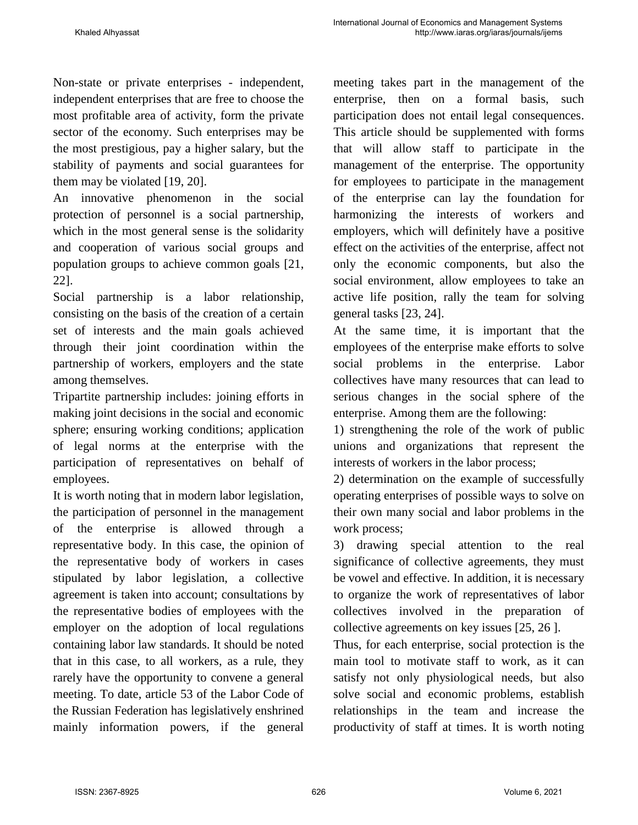Non-state or private enterprises - independent, independent enterprises that are free to choose the most profitable area of activity, form the private sector of the economy. Such enterprises may be the most prestigious, pay a higher salary, but the stability of payments and social guarantees for them may be violated [19, 20].

An innovative phenomenon in the social protection of personnel is a social partnership, which in the most general sense is the solidarity and cooperation of various social groups and population groups to achieve common goals [21, 22].

Social partnership is a labor relationship, consisting on the basis of the creation of a certain set of interests and the main goals achieved through their joint coordination within the partnership of workers, employers and the state among themselves.

Tripartite partnership includes: joining efforts in making joint decisions in the social and economic sphere; ensuring working conditions; application of legal norms at the enterprise with the participation of representatives on behalf of employees.

It is worth noting that in modern labor legislation, the participation of personnel in the management of the enterprise is allowed through a representative body. In this case, the opinion of the representative body of workers in cases stipulated by labor legislation, a collective agreement is taken into account; consultations by the representative bodies of employees with the employer on the adoption of local regulations containing labor law standards. It should be noted that in this case, to all workers, as a rule, they rarely have the opportunity to convene a general meeting. To date, article 53 of the Labor Code of the Russian Federation has legislatively enshrined mainly information powers, if the general meeting takes part in the management of the enterprise, then on a formal basis, such participation does not entail legal consequences. This article should be supplemented with forms that will allow staff to participate in the management of the enterprise. The opportunity for employees to participate in the management of the enterprise can lay the foundation for harmonizing the interests of workers and employers, which will definitely have a positive effect on the activities of the enterprise, affect not only the economic components, but also the social environment, allow employees to take an active life position, rally the team for solving general tasks [23, 24].

At the same time, it is important that the employees of the enterprise make efforts to solve social problems in the enterprise. Labor collectives have many resources that can lead to serious changes in the social sphere of the enterprise. Among them are the following:

1) strengthening the role of the work of public unions and organizations that represent the interests of workers in the labor process;

2) determination on the example of successfully operating enterprises of possible ways to solve on their own many social and labor problems in the work process;

3) drawing special attention to the real significance of collective agreements, they must be vowel and effective. In addition, it is necessary to organize the work of representatives of labor collectives involved in the preparation of collective agreements on key issues [25, 26 ].

Thus, for each enterprise, social protection is the main tool to motivate staff to work, as it can satisfy not only physiological needs, but also solve social and economic problems, establish relationships in the team and increase the productivity of staff at times. It is worth noting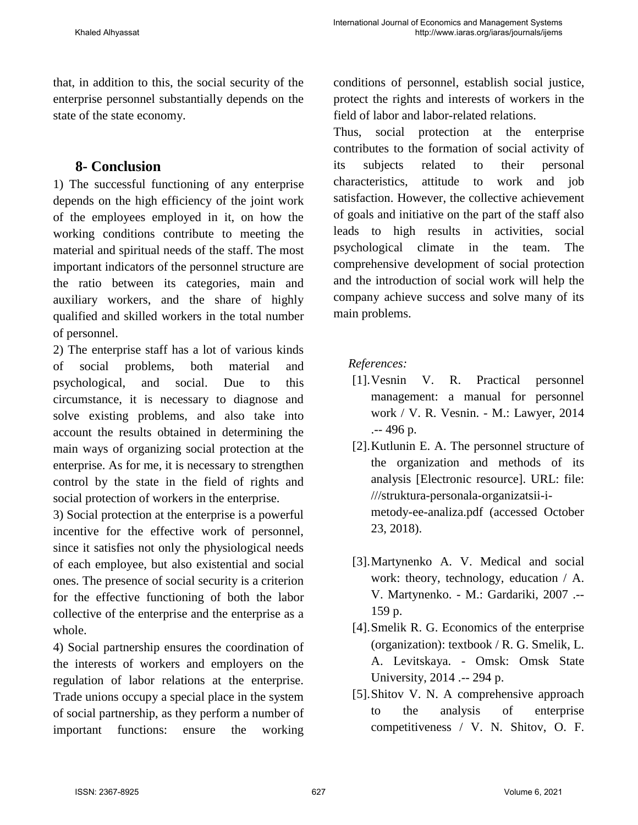that, in addition to this, the social security of the enterprise personnel substantially depends on the state of the state economy.

#### **8- Conclusion**

1) The successful functioning of any enterprise depends on the high efficiency of the joint work of the employees employed in it, on how the working conditions contribute to meeting the material and spiritual needs of the staff. The most important indicators of the personnel structure are the ratio between its categories, main and auxiliary workers, and the share of highly qualified and skilled workers in the total number of personnel.

2) The enterprise staff has a lot of various kinds of social problems, both material and psychological, and social. Due to this circumstance, it is necessary to diagnose and solve existing problems, and also take into account the results obtained in determining the main ways of organizing social protection at the enterprise. As for me, it is necessary to strengthen control by the state in the field of rights and social protection of workers in the enterprise.

3) Social protection at the enterprise is a powerful incentive for the effective work of personnel, since it satisfies not only the physiological needs of each employee, but also existential and social ones. The presence of social security is a criterion for the effective functioning of both the labor collective of the enterprise and the enterprise as a whole.

4) Social partnership ensures the coordination of the interests of workers and employers on the regulation of labor relations at the enterprise. Trade unions occupy a special place in the system of social partnership, as they perform a number of important functions: ensure the working

conditions of personnel, establish social justice, protect the rights and interests of workers in the field of labor and labor-related relations.

Thus, social protection at the enterprise contributes to the formation of social activity of its subjects related to their personal characteristics, attitude to work and job satisfaction. However, the collective achievement of goals and initiative on the part of the staff also leads to high results in activities, social psychological climate in the team. The comprehensive development of social protection and the introduction of social work will help the company achieve success and solve many of its main problems.

#### *References:*

- [1].Vesnin V. R. Practical personnel management: a manual for personnel work / V. R. Vesnin. - M.: Lawyer, 2014 .-- 496 p.
- [2].Kutlunin E. A. The personnel structure of the organization and methods of its analysis [Electronic resource]. URL: file: ///struktura-personala-organizatsii-imetody-ee-analiza.pdf (accessed October 23, 2018).
- [3].Martynenko A. V. Medical and social work: theory, technology, education / A. V. Martynenko. - M.: Gardariki, 2007 .-- 159 p.
- [4].Smelik R. G. Economics of the enterprise (organization): textbook / R. G. Smelik, L. A. Levitskaya. - Omsk: Omsk State University, 2014 .-- 294 p.
- [5].Shitov V. N. A comprehensive approach to the analysis of enterprise competitiveness / V. N. Shitov, O. F.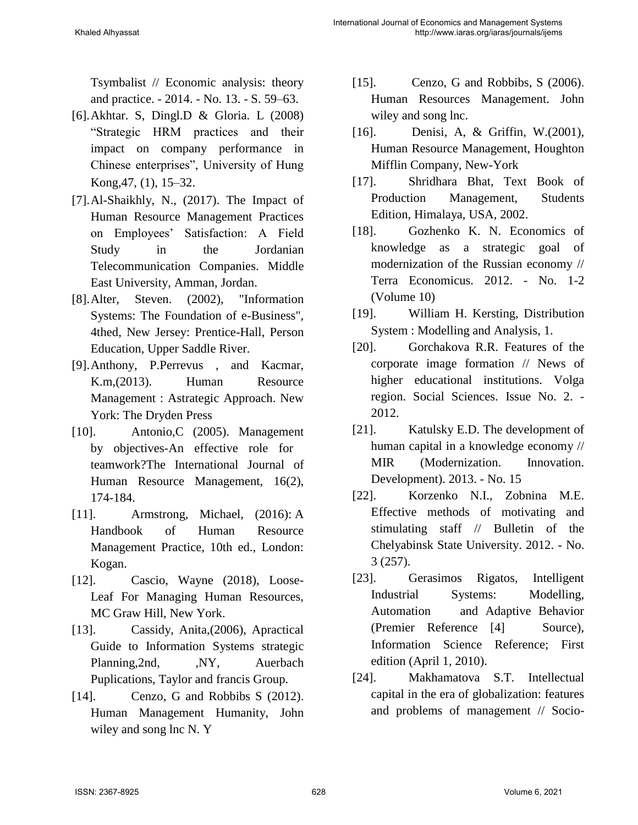Tsymbalist // Economic analysis: theory and practice. - 2014. - No. 13. - S. 59–63.

- [6].Akhtar. S, Dingl.D & Gloria. L (2008) "Strategic HRM practices and their impact on company performance in Chinese enterprises", University of Hung Kong,47, (1), 15–32.
- [7].Al-Shaikhly, N., (2017). The Impact of Human Resource Management Practices on Employees' Satisfaction: A Field Study in the Jordanian Telecommunication Companies. Middle East University, Amman, Jordan.
- [8].Alter, Steven. (2002), "Information Systems: The Foundation of e-Business", 4thed, New Jersey: Prentice-Hall, Person Education, Upper Saddle River.
- [9].Anthony, P.Perrevus , and Kacmar, K.m,(2013). Human Resource Management : Astrategic Approach. New York: The Dryden Press
- [10]. Antonio, C (2005). Management by objectives-An effective role for teamwork?The International Journal of Human Resource Management, 16(2), 174-184.
- [11]. Armstrong, Michael, (2016): A Handbook of Human Resource Management Practice, 10th ed., London: Kogan.
- [12]. Cascio, Wayne (2018), Loose-Leaf For Managing Human Resources, MC Graw Hill, New York.
- [13]. Cassidy, Anita,(2006), Apractical Guide to Information Systems strategic Planning, 2nd, MY, Auerbach Puplications, Taylor and francis Group.
- [14]. Cenzo, G and Robbibs S (2012). Human Management Humanity, John wiley and song lnc N. Y
- [15]. Cenzo, G and Robbibs, S (2006). Human Resources Management. John wiley and song lnc.
- [16]. Denisi, A, & Griffin, W.(2001), Human Resource Management, Houghton Mifflin Company, New-York
- [17]. Shridhara Bhat, Text Book of Production Management, Students Edition, Himalaya, USA, 2002.
- [18]. Gozhenko K. N. Economics of knowledge as a strategic goal of modernization of the Russian economy // Terra Economicus. 2012. - No. 1-2 (Volume 10)
- [19]. William H. Kersting, Distribution System : Modelling and Analysis, 1.
- [20]. Gorchakova R.R. Features of the corporate image formation // News of higher educational institutions. Volga region. Social Sciences. Issue No. 2. - 2012.
- [21]. Katulsky E.D. The development of human capital in a knowledge economy // MIR (Modernization. Innovation. Development). 2013. - No. 15
- [22]. Korzenko N.I., Zobnina M.E. Effective methods of motivating and stimulating staff // Bulletin of the Chelyabinsk State University. 2012. - No. 3 (257).
- [23]. Gerasimos Rigatos, Intelligent Industrial Systems: Modelling, Automation and Adaptive Behavior (Premier Reference [4] Source), Information Science Reference; First edition (April 1, 2010).
- [24]. Makhamatova S.T. Intellectual capital in the era of globalization: features and problems of management // Socio-